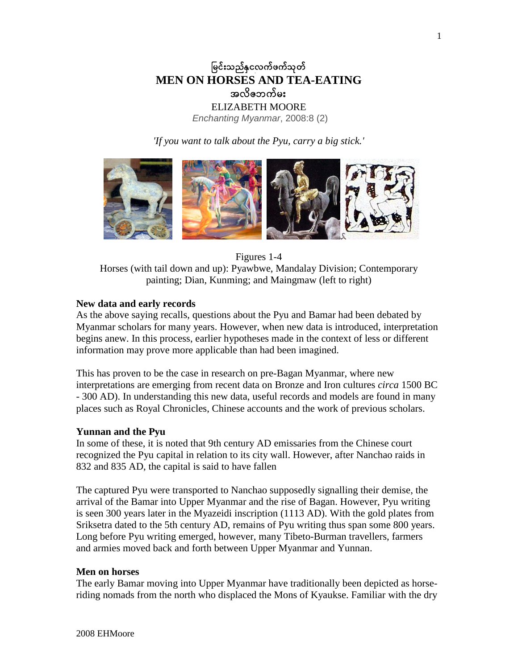# မြင်းသည်နှငလက်ဖက်သုတ် **MEN ON HORSES AND TEA-EATING** အလိုကေက်မူး ELIZABETH MOORE *Enchanting Myanmar*, 2008:8 (2)

*'If you want to talk about the Pyu, carry a big stick.'*



Figures 1-4

Horses (with tail down and up): Pyawbwe, Mandalay Division; Contemporary painting; Dian, Kunming; and Maingmaw (left to right)

### **New data and early records**

As the above saying recalls, questions about the Pyu and Bamar had been debated by Myanmar scholars for many years. However, when new data is introduced, interpretation begins anew. In this process, earlier hypotheses made in the context of less or different information may prove more applicable than had been imagined.

This has proven to be the case in research on pre-Bagan Myanmar, where new interpretations are emerging from recent data on Bronze and Iron cultures *circa* 1500 BC - 300 AD). In understanding this new data, useful records and models are found in many places such as Royal Chronicles, Chinese accounts and the work of previous scholars.

#### **Yunnan and the Pyu**

In some of these, it is noted that 9th century AD emissaries from the Chinese court recognized the Pyu capital in relation to its city wall. However, after Nanchao raids in 832 and 835 AD, the capital is said to have fallen

The captured Pyu were transported to Nanchao supposedly signalling their demise, the arrival of the Bamar into Upper Myanmar and the rise of Bagan. However, Pyu writing is seen 300 years later in the Myazeidi inscription (1113 AD). With the gold plates from Sriksetra dated to the 5th century AD, remains of Pyu writing thus span some 800 years. Long before Pyu writing emerged, however, many Tibeto-Burman travellers, farmers and armies moved back and forth between Upper Myanmar and Yunnan.

#### **Men on horses**

The early Bamar moving into Upper Myanmar have traditionally been depicted as horseriding nomads from the north who displaced the Mons of Kyaukse. Familiar with the dry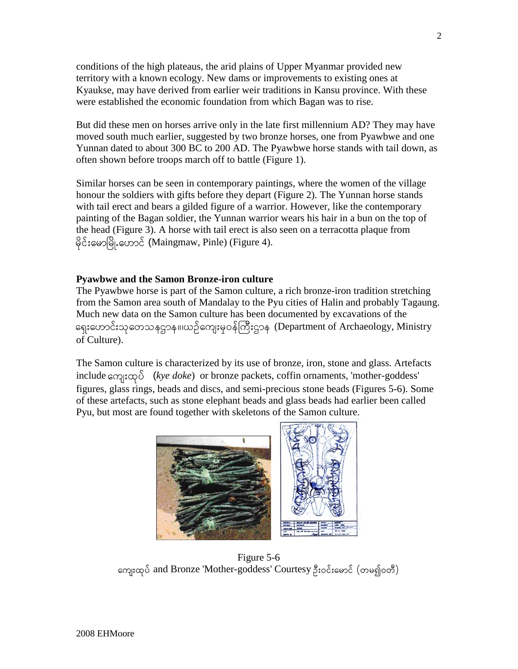conditions of the high plateaus, the arid plains of Upper Myanmar provided new territory with a known ecology. New dams or improvements to existing ones at Kyaukse, may have derived from earlier weir traditions in Kansu province. With these were established the economic foundation from which Bagan was to rise.

But did these men on horses arrive only in the late first millennium AD? They may have moved south much earlier, suggested by two bronze horses, one from Pyawbwe and one Yunnan dated to about 300 BC to 200 AD. The Pyawbwe horse stands with tail down, as often shown before troops march off to battle (Figure 1).

Similar horses can be seen in contemporary paintings, where the women of the village honour the soldiers with gifts before they depart (Figure 2). The Yunnan horse stands with tail erect and bears a gilded figure of a warrior. However, like the contemporary painting of the Bagan soldier, the Yunnan warrior wears his hair in a bun on the top of the head (Figure 3). A horse with tail erect is also seen on a terracotta plaque from (Maingmaw, Pinle) (Figure 4).

### **Pyawbwe and the Samon Bronze-iron culture**

The Pyawbwe horse is part of the Samon culture, a rich bronze-iron tradition stretching from the Samon area south of Mandalay to the Pyu cities of Halin and probably Tagaung. Much new data on the Samon culture has been documented by excavations of the ရေးဟောင်းသုတေသနဌာန။၊ယဉ်ကျေးမှဝန်ကြီးဌာန (Department of Archaeology, Ministry of Culture).

The Samon culture is characterized by its use of bronze, iron, stone and glass. Artefacts include  $\langle \cos \theta \rangle$  (*kye doke*) or bronze packets, coffin ornaments, 'mother-goddess' figures, glass rings, beads and discs, and semi-precious stone beads (Figures 5-6). Some of these artefacts, such as stone elephant beads and glass beads had earlier been called Pyu, but most are found together with skeletons of the Samon culture.



Figure 5-6 ကျေးထုပ် and Bronze 'Mother-goddess' Courtesy ဦးဝင်းမောင် (တမ၍ဝတီ)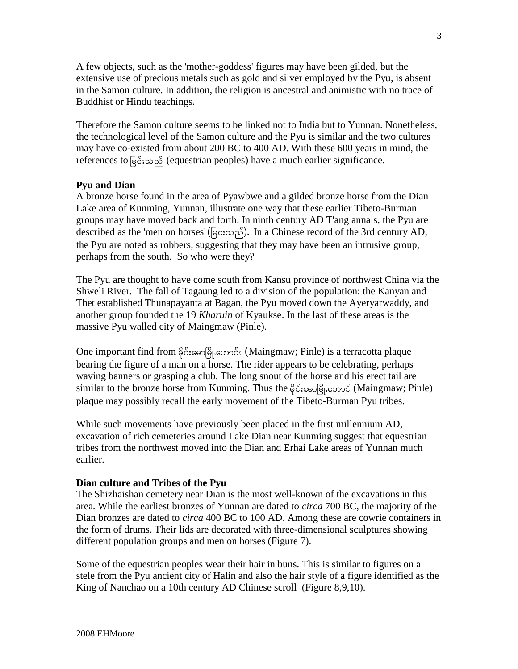A few objects, such as the 'mother-goddess' figures may have been gilded, but the extensive use of precious metals such as gold and silver employed by the Pyu, is absent in the Samon culture. In addition, the religion is ancestral and animistic with no trace of Buddhist or Hindu teachings.

Therefore the Samon culture seems to be linked not to India but to Yunnan. Nonetheless, the technological level of the Samon culture and the Pyu is similar and the two cultures may have co-existed from about 200 BC to 400 AD. With these 600 years in mind, the references to  $\Theta \in \mathcal{E}$ : $\infty$  $\Theta$  (equestrian peoples) have a much earlier significance.

### **Pyu and Dian**

A bronze horse found in the area of Pyawbwe and a gilded bronze horse from the Dian Lake area of Kunming, Yunnan, illustrate one way that these earlier Tibeto-Burman groups may have moved back and forth. In ninth century AD T'ang annals, the Pyu are described as the 'men on horses' ((Θειωρδ). In a Chinese record of the 3rd century AD, the Pyu are noted as robbers, suggesting that they may have been an intrusive group, perhaps from the south. So who were they?

The Pyu are thought to have come south from Kansu province of northwest China via the Shweli River. The fall of Tagaung led to a division of the population: the Kanyan and Thet established Thunapayanta at Bagan, the Pyu moved down the Ayeryarwaddy, and another group founded the 19 *Kharuin* of Kyaukse. In the last of these areas is the massive Pyu walled city of Maingmaw (Pinle).

One important find from မိုင်းမောမြို့ဟောင်း (Maingmaw; Pinle) is a terracotta plaque bearing the figure of a man on a horse. The rider appears to be celebrating, perhaps waving banners or grasping a club. The long snout of the horse and his erect tail are similar to the bronze horse from Kunming. Thus the မိုင်းမောမြို့ဟောင် (Maingmaw; Pinle) plaque may possibly recall the early movement of the Tibeto-Burman Pyu tribes.

While such movements have previously been placed in the first millennium AD, excavation of rich cemeteries around Lake Dian near Kunming suggest that equestrian tribes from the northwest moved into the Dian and Erhai Lake areas of Yunnan much earlier.

#### **Dian culture and Tribes of the Pyu**

The Shizhaishan cemetery near Dian is the most well-known of the excavations in this area. While the earliest bronzes of Yunnan are dated to *circa* 700 BC, the majority of the Dian bronzes are dated to *circa* 400 BC to 100 AD. Among these are cowrie containers in the form of drums. Their lids are decorated with three-dimensional sculptures showing different population groups and men on horses (Figure 7).

Some of the equestrian peoples wear their hair in buns. This is similar to figures on a stele from the Pyu ancient city of Halin and also the hair style of a figure identified as the King of Nanchao on a 10th century AD Chinese scroll (Figure 8,9,10).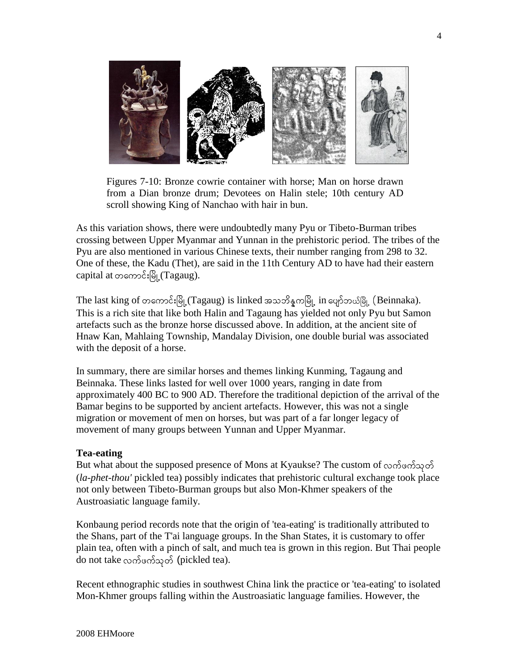

Figures 7-10: Bronze cowrie container with horse; Man on horse drawn from a Dian bronze drum; Devotees on Halin stele; 10th century AD scroll showing King of Nanchao with hair in bun.

As this variation shows, there were undoubtedly many Pyu or Tibeto-Burman tribes crossing between Upper Myanmar and Yunnan in the prehistoric period. The tribes of the Pyu are also mentioned in various Chinese texts, their number ranging from 298 to 32. One of these, the Kadu (Thet), are said in the 11th Century AD to have had their eastern capital at  $\infty$   $\infty$  $\mathcal{E}$ : [8] (Tagaug).

The last king of တကောင်းမြို့ (Tagaug) is linked အသဘိန္နကမြို့ in ပျော်ဘယ်မြို့ (Beinnaka). This is a rich site that like both Halin and Tagaung has yielded not only Pyu but Samon artefacts such as the bronze horse discussed above. In addition, at the ancient site of Hnaw Kan, Mahlaing Township, Mandalay Division, one double burial was associated with the deposit of a horse.

In summary, there are similar horses and themes linking Kunming, Tagaung and Beinnaka. These links lasted for well over 1000 years, ranging in date from approximately 400 BC to 900 AD. Therefore the traditional depiction of the arrival of the Bamar begins to be supported by ancient artefacts. However, this was not a single migration or movement of men on horses, but was part of a far longer legacy of movement of many groups between Yunnan and Upper Myanmar.

### **Tea-eating**

But what about the supposed presence of Mons at Kyaukse? The custom of  $\infty$ က်ဖက်သုတ် (*la-phet-thou'* pickled tea) possibly indicates that prehistoric cultural exchange took place not only between Tibeto-Burman groups but also Mon-Khmer speakers of the Austroasiatic language family.

Konbaung period records note that the origin of 'tea-eating' is traditionally attributed to the Shans, part of the T'ai language groups. In the Shan States, it is customary to offer plain tea, often with a pinch of salt, and much tea is grown in this region. But Thai people do not take လက်ဖက်သုတ် (pickled tea).

Recent ethnographic studies in southwest China link the practice or 'tea-eating' to isolated Mon-Khmer groups falling within the Austroasiatic language families. However, the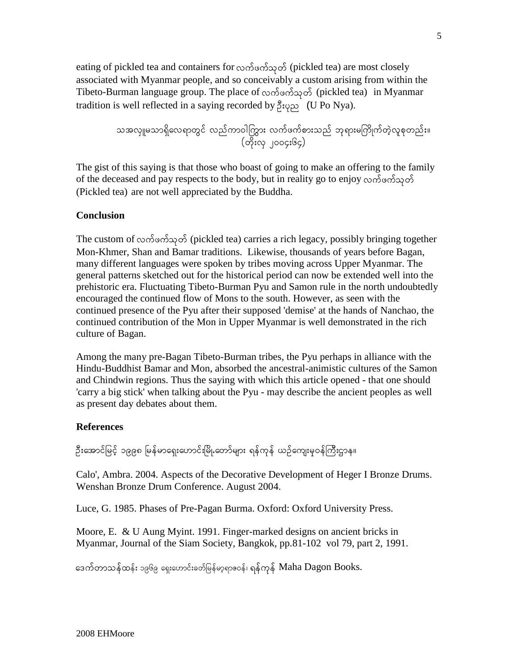eating of pickled tea and containers for လက်ဖက်သုတ် (pickled tea) are most closely associated with Myanmar people, and so conceivably a custom arising from within the Tibeto-Burman language group. The place of လက်ဖက်သုတ် (pickled tea) in Myanmar tradition is well reflected in a saying recorded by  $\beta$ : $\varphi$  (U Po Nya).

သအလှူမသာရှိလေရာတွင် လည်ကာဝါကြွား လက်ဖက်စားသည် ဘုရားမကြိုက်တဲ့လူစုတည်း။<br>(တိုးလှ ၂၀၀၄း၆၄)

The gist of this saying is that those who boast of going to make an offering to the family of the deceased and pay respects to the body, but in reality go to enjoy (Pickled tea) are not well appreciated by the Buddha.

# **Conclusion**

The custom of လက်ဖက်သုတ် (pickled tea) carries a rich legacy, possibly bringing together Mon-Khmer, Shan and Bamar traditions. Likewise, thousands of years before Bagan, many different languages were spoken by tribes moving across Upper Myanmar. The general patterns sketched out for the historical period can now be extended well into the prehistoric era. Fluctuating Tibeto-Burman Pyu and Samon rule in the north undoubtedly encouraged the continued flow of Mons to the south. However, as seen with the continued presence of the Pyu after their supposed 'demise' at the hands of Nanchao, the continued contribution of the Mon in Upper Myanmar is well demonstrated in the rich culture of Bagan.

Among the many pre-Bagan Tibeto-Burman tribes, the Pyu perhaps in alliance with the Hindu-Buddhist Bamar and Mon, absorbed the ancestral-animistic cultures of the Samon and Chindwin regions. Thus the saying with which this article opened - that one should 'carry a big stick' when talking about the Pyu - may describe the ancient peoples as well as present day debates about them.

# **References**

ဦးအောင်မြင့် ၁၉၉၈ မြန်မာရေးဟောင်းမြို့တော်များ ရန်ကုန် ယဉ်ကျေးမှဝန်ကြီးဌာန။

Calo', Ambra. 2004. Aspects of the Decorative Development of Heger I Bronze Drums. Wenshan Bronze Drum Conference. August 2004.

Luce, G. 1985. Phases of Pre-Pagan Burma. Oxford: Oxford University Press.

Moore, E. & U Aung Myint. 1991. Finger-marked designs on ancient bricks in Myanmar, Journal of the Siam Society, Bangkok, pp.81-102 vol 79, part 2, 1991.

ဒေက်တာသန်ထန်း ၁၉၆၉ ရေးဟောင်းခတ်မြန်မာ့ရာဇဝန်၊ ရန်ကုန် Maha Dagon Books.